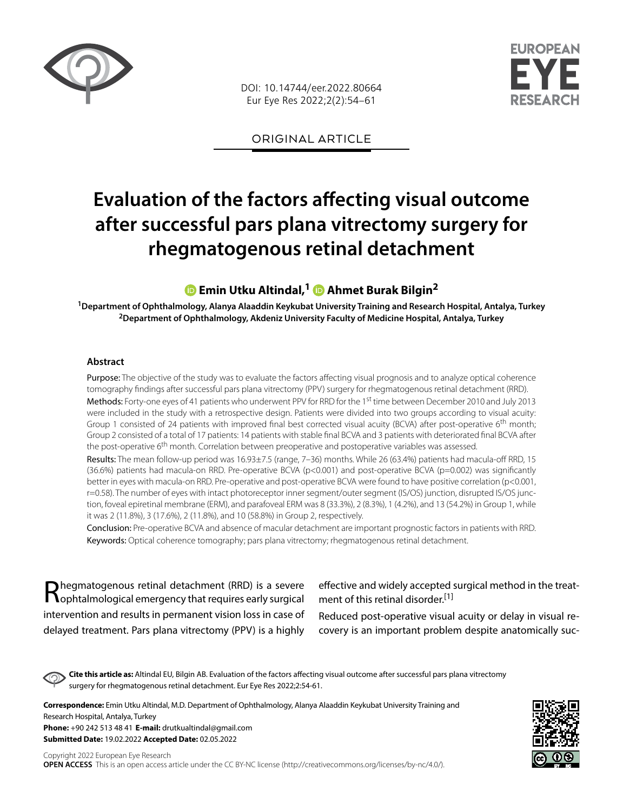

DOI: 10.14744/eer.2022.80664 Eur Eye Res 2022;2(2):54–61

**FLIROPFAN** 

ORIGINAL ARTICLE

# **Evaluation of the factors affecting visual outcome after successful pars plana vitrectomy surgery for rhegmatogenous retinal detachment**

# **Emin Utku Altindal,1Ahmet Burak Bilgin2**

**1Department of Ophthalmology, Alanya Alaaddin Keykubat University Training and Research Hospital, Antalya, Turkey 2Department of Ophthalmology, Akdeniz University Faculty of Medicine Hospital, Antalya, Turkey**

#### **Abstract**

Purpose: The objective of the study was to evaluate the factors affecting visual prognosis and to analyze optical coherence tomography findings after successful pars plana vitrectomy (PPV) surgery for rhegmatogenous retinal detachment (RRD). Methods: Forty-one eyes of 41 patients who underwent PPV for RRD for the 1st time between December 2010 and July 2013 were included in the study with a retrospective design. Patients were divided into two groups according to visual acuity: Group 1 consisted of 24 patients with improved final best corrected visual acuity (BCVA) after post-operative 6<sup>th</sup> month; Group 2 consisted of a total of 17 patients: 14 patients with stable final BCVA and 3 patients with deteriorated final BCVA after the post-operative 6<sup>th</sup> month. Correlation between preoperative and postoperative variables was assessed.

Results: The mean follow-up period was 16.93±7.5 (range, 7-36) months. While 26 (63.4%) patients had macula-off RRD, 15 (36.6%) patients had macula-on RRD. Pre-operative BCVA (p<0.001) and post-operative BCVA (p=0.002) was significantly better in eyes with macula-on RRD. Pre-operative and post-operative BCVA were found to have positive correlation (p<0.001, r=0.58). The number of eyes with intact photoreceptor inner segment/outer segment (IS/OS) junction, disrupted IS/OS junction, foveal epiretinal membrane (ERM), and parafoveal ERM was 8 (33.3%), 2 (8.3%), 1 (4.2%), and 13 (54.2%) in Group 1, while it was 2 (11.8%), 3 (17.6%), 2 (11.8%), and 10 (58.8%) in Group 2, respectively.

Conclusion: Pre-operative BCVA and absence of macular detachment are important prognostic factors in patients with RRD. Keywords: Optical coherence tomography; pars plana vitrectomy; rhegmatogenous retinal detachment.

Rhegmatogenous retinal detachment (RRD) is a severe<br>
Rophtalmological emergency that requires early surgical intervention and results in permanent vision loss in case of delayed treatment. Pars plana vitrectomy (PPV) is a highly

effective and widely accepted surgical method in the treatment of this retinal disorder.[1]

Reduced post-operative visual acuity or delay in visual recovery is an important problem despite anatomically suc-

**Cite this article as:** Altindal EU, Bilgin AB. Evaluation of the factors affecting visual outcome after successful pars plana vitrectomy surgery for rhegmatogenous retinal detachment. Eur Eye Res 2022;2:54-61.

**Correspondence:** Emin Utku Altindal, M.D. Department of Ophthalmology, Alanya Alaaddin Keykubat University Training and Research Hospital, Antalya, Turkey **Phone:** +90 242 513 48 41 **E-mail:** drutkualtindal@gmail.com **Submitted Date:** 19.02.2022 **Accepted Date:** 02.05.2022

Copyright 2022 European Eye Research **OPEN ACCESS** This is an open access article under the CC BY-NC license (http://creativecommons.org/licenses/by-nc/4.0/).

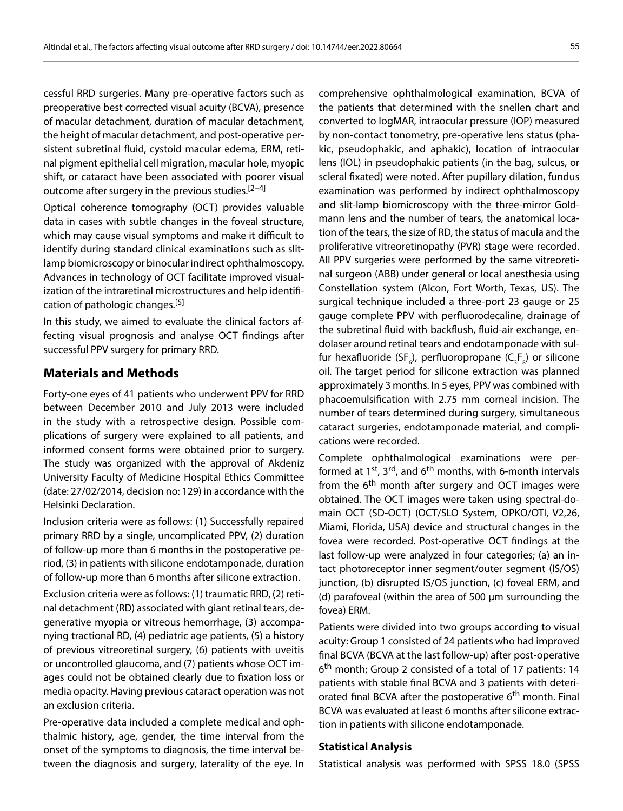cessful RRD surgeries. Many pre-operative factors such as preoperative best corrected visual acuity (BCVA), presence of macular detachment, duration of macular detachment, the height of macular detachment, and post-operative persistent subretinal fluid, cystoid macular edema, ERM, retinal pigment epithelial cell migration, macular hole, myopic shift, or cataract have been associated with poorer visual outcome after surgery in the previous studies.<sup>[2–4]</sup>

Optical coherence tomography (OCT) provides valuable data in cases with subtle changes in the foveal structure, which may cause visual symptoms and make it difficult to identify during standard clinical examinations such as slitlamp biomicroscopy or binocular indirect ophthalmoscopy. Advances in technology of OCT facilitate improved visualization of the intraretinal microstructures and help identification of pathologic changes.<sup>[5]</sup>

In this study, we aimed to evaluate the clinical factors affecting visual prognosis and analyse OCT findings after successful PPV surgery for primary RRD.

## **Materials and Methods**

Forty-one eyes of 41 patients who underwent PPV for RRD between December 2010 and July 2013 were included in the study with a retrospective design. Possible complications of surgery were explained to all patients, and informed consent forms were obtained prior to surgery. The study was organized with the approval of Akdeniz University Faculty of Medicine Hospital Ethics Committee (date: 27/02/2014, decision no: 129) in accordance with the Helsinki Declaration.

Inclusion criteria were as follows: (1) Successfully repaired primary RRD by a single, uncomplicated PPV, (2) duration of follow-up more than 6 months in the postoperative period, (3) in patients with silicone endotamponade, duration of follow-up more than 6 months after silicone extraction.

Exclusion criteria were as follows: (1) traumatic RRD, (2) retinal detachment (RD) associated with giant retinal tears, degenerative myopia or vitreous hemorrhage, (3) accompanying tractional RD, (4) pediatric age patients, (5) a history of previous vitreoretinal surgery, (6) patients with uveitis or uncontrolled glaucoma, and (7) patients whose OCT images could not be obtained clearly due to fixation loss or media opacity. Having previous cataract operation was not an exclusion criteria.

Pre-operative data included a complete medical and ophthalmic history, age, gender, the time interval from the onset of the symptoms to diagnosis, the time interval between the diagnosis and surgery, laterality of the eye. In

comprehensive ophthalmological examination, BCVA of the patients that determined with the snellen chart and converted to logMAR, intraocular pressure (IOP) measured by non-contact tonometry, pre-operative lens status (phakic, pseudophakic, and aphakic), location of intraocular lens (IOL) in pseudophakic patients (in the bag, sulcus, or scleral fixated) were noted. After pupillary dilation, fundus examination was performed by indirect ophthalmoscopy and slit-lamp biomicroscopy with the three-mirror Goldmann lens and the number of tears, the anatomical location of the tears, the size of RD, the status of macula and the proliferative vitreoretinopathy (PVR) stage were recorded. All PPV surgeries were performed by the same vitreoretinal surgeon (ABB) under general or local anesthesia using Constellation system (Alcon, Fort Worth, Texas, US). The surgical technique included a three-port 23 gauge or 25 gauge complete PPV with perfluorodecaline, drainage of the subretinal fluid with backflush, fluid-air exchange, endolaser around retinal tears and endotamponade with sulfur hexafluoride (SF $_{\rm e}$ ), perfluoropropane (C $_{\rm s}$ F $_{\rm s}$ ) or silicone oil. The target period for silicone extraction was planned approximately 3 months. In 5 eyes, PPV was combined with phacoemulsification with 2.75 mm corneal incision. The number of tears determined during surgery, simultaneous cataract surgeries, endotamponade material, and complications were recorded.

Complete ophthalmological examinations were performed at  $1^{st}$ ,  $3^{rd}$ , and  $6^{th}$  months, with 6-month intervals from the  $6<sup>th</sup>$  month after surgery and OCT images were obtained. The OCT images were taken using spectral-domain OCT (SD-OCT) (OCT/SLO System, OPKO/OTI, V2,26, Miami, Florida, USA) device and structural changes in the fovea were recorded. Post-operative OCT findings at the last follow-up were analyzed in four categories; (a) an intact photoreceptor inner segment/outer segment (IS/OS) junction, (b) disrupted IS/OS junction, (c) foveal ERM, and (d) parafoveal (within the area of 500 µm surrounding the fovea) ERM.

Patients were divided into two groups according to visual acuity: Group 1 consisted of 24 patients who had improved final BCVA (BCVA at the last follow-up) after post-operative 6th month; Group 2 consisted of a total of 17 patients: 14 patients with stable final BCVA and 3 patients with deteriorated final BCVA after the postoperative 6<sup>th</sup> month. Final BCVA was evaluated at least 6 months after silicone extraction in patients with silicone endotamponade.

#### **Statistical Analysis**

Statistical analysis was performed with SPSS 18.0 (SPSS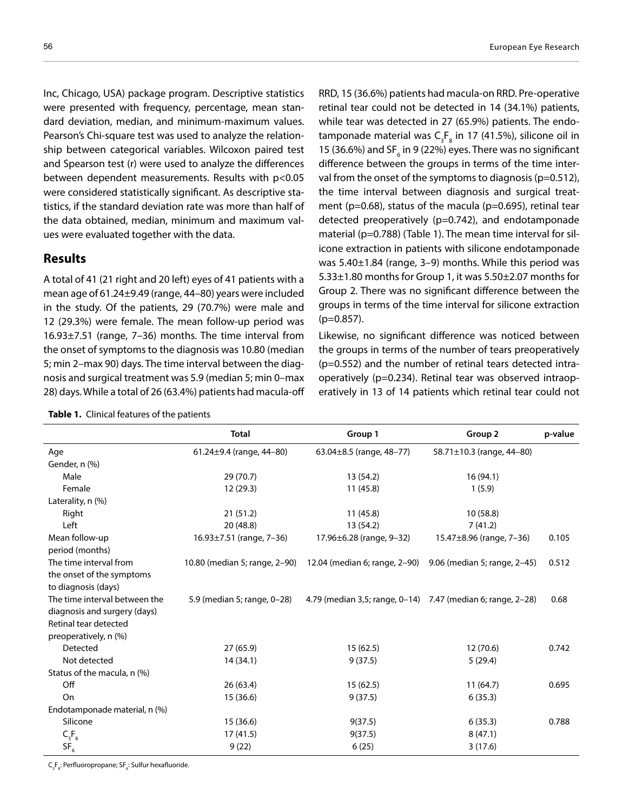Inc, Chicago, USA) package program. Descriptive statistics were presented with frequency, percentage, mean standard deviation, median, and minimum-maximum values. Pearson's Chi-square test was used to analyze the relationship between categorical variables. Wilcoxon paired test and Spearson test (r) were used to analyze the differences between dependent measurements. Results with p<0.05 were considered statistically significant. As descriptive statistics, if the standard deviation rate was more than half of the data obtained, median, minimum and maximum values were evaluated together with the data.

#### **Results**

A total of 41 (21 right and 20 left) eyes of 41 patients with a mean age of 61.24±9.49 (range, 44–80) years were included in the study. Of the patients, 29 (70.7%) were male and 12 (29.3%) were female. The mean follow-up period was 16.93±7.51 (range, 7–36) months. The time interval from the onset of symptoms to the diagnosis was 10.80 (median 5; min 2–max 90) days. The time interval between the diagnosis and surgical treatment was 5.9 (median 5; min 0–max 28) days. While a total of 26 (63.4%) patients had macula-off

|  | Table 1. Clinical features of the patients |  |
|--|--------------------------------------------|--|
|--|--------------------------------------------|--|

RRD, 15 (36.6%) patients had macula-on RRD. Pre-operative retinal tear could not be detected in 14 (34.1%) patients, while tear was detected in 27 (65.9%) patients. The endotamponade material was  $\mathsf{C}_3\mathsf{F}_8$  in 17 (41.5%), silicone oil in 15 (36.6%) and SF<sub> $_6$ </sub> in 9 (22%) eyes. There was no significant difference between the groups in terms of the time interval from the onset of the symptoms to diagnosis (p=0.512), the time interval between diagnosis and surgical treatment ( $p=0.68$ ), status of the macula ( $p=0.695$ ), retinal tear detected preoperatively (p=0.742), and endotamponade material (p=0.788) (Table 1). The mean time interval for silicone extraction in patients with silicone endotamponade was 5.40±1.84 (range, 3–9) months. While this period was 5.33±1.80 months for Group 1, it was 5.50±2.07 months for Group 2. There was no significant difference between the groups in terms of the time interval for silicone extraction (p=0.857).

Likewise, no significant difference was noticed between the groups in terms of the number of tears preoperatively (p=0.552) and the number of retinal tears detected intraoperatively (p=0.234). Retinal tear was observed intraoperatively in 13 of 14 patients which retinal tear could not

|                               | <b>Total</b>                   | Group 1                                                     | Group <sub>2</sub>           | p-value |
|-------------------------------|--------------------------------|-------------------------------------------------------------|------------------------------|---------|
| Age                           | 61.24±9.4 (range, 44-80)       | 63.04±8.5 (range, 48-77)                                    | 58.71±10.3 (range, 44-80)    |         |
| Gender, n (%)                 |                                |                                                             |                              |         |
| Male                          | 29(70.7)                       | 13 (54.2)                                                   | 16 (94.1)                    |         |
| Female                        | 12 (29.3)                      | 11(45.8)                                                    | 1(5.9)                       |         |
| Laterality, n (%)             |                                |                                                             |                              |         |
| Right                         | 21(51.2)                       | 11(45.8)                                                    | 10(58.8)                     |         |
| Left                          | 20 (48.8)                      | 13 (54.2)                                                   | 7(41.2)                      |         |
| Mean follow-up                | $16.93 \pm 7.51$ (range, 7-36) | 17.96±6.28 (range, 9-32)                                    | 15.47±8.96 (range, 7-36)     | 0.105   |
| period (months)               |                                |                                                             |                              |         |
| The time interval from        | 10.80 (median 5; range, 2–90)  | 12.04 (median 6; range, 2–90)                               | 9.06 (median 5; range, 2–45) | 0.512   |
| the onset of the symptoms     |                                |                                                             |                              |         |
| to diagnosis (days)           |                                |                                                             |                              |         |
| The time interval between the | 5.9 (median 5; range, 0-28)    | 4.79 (median 3,5; range, 0–14) 7.47 (median 6; range, 2–28) |                              | 0.68    |
| diagnosis and surgery (days)  |                                |                                                             |                              |         |
| Retinal tear detected         |                                |                                                             |                              |         |
| preoperatively, n (%)         |                                |                                                             |                              |         |
| Detected                      | 27(65.9)                       | 15(62.5)                                                    | 12(70.6)                     | 0.742   |
| Not detected                  | 14 (34.1)                      | 9(37.5)                                                     | 5(29.4)                      |         |
| Status of the macula, n (%)   |                                |                                                             |                              |         |
| Off                           | 26(63.4)                       | 15(62.5)                                                    | 11(64.7)                     | 0.695   |
| On                            | 15 (36.6)                      | 9(37.5)                                                     | 6(35.3)                      |         |
| Endotamponade material, n (%) |                                |                                                             |                              |         |
| Silicone                      | 15 (36.6)                      | 9(37.5)                                                     | 6(35.3)                      | 0.788   |
| $C_3F_8$                      | 17(41.5)                       | 9(37.5)                                                     | 8(47.1)                      |         |
| SF <sub>6</sub>               | 9(22)                          | 6(25)                                                       | 3(17.6)                      |         |

 $\mathsf{C}_\mathsf{3}\mathsf{F}_\mathsf{8}$ : Perfluoropropane; S $\mathsf{F}_\mathsf{6}$ : Sulfur hexafluoride.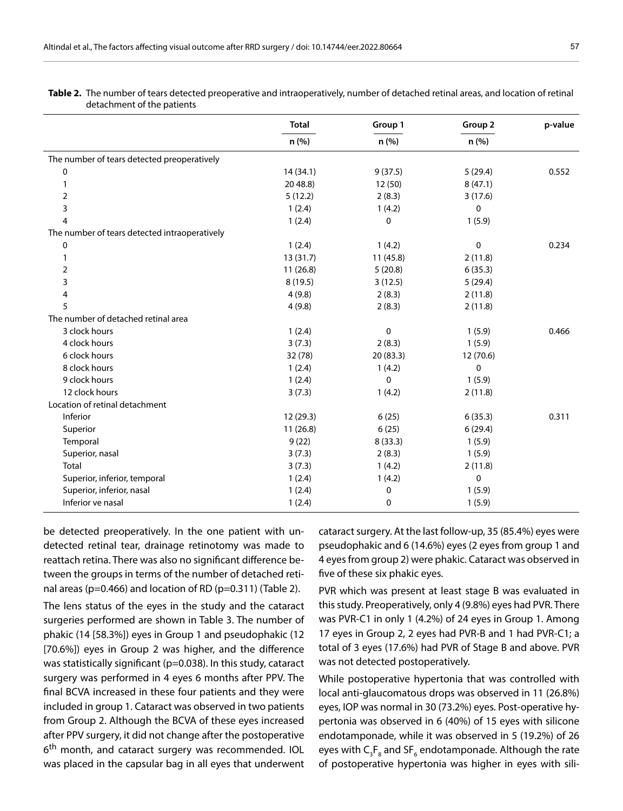|                                               | <b>Total</b><br>n (%) | Group 1   | Group 2      | p-value |
|-----------------------------------------------|-----------------------|-----------|--------------|---------|
|                                               |                       | n (%)     | n (%)        |         |
| The number of tears detected preoperatively   |                       |           |              |         |
| 0                                             | 14(34.1)              | 9(37.5)   | 5(29.4)      | 0.552   |
| 1                                             | 20 48.8)              | 12 (50)   | 8(47.1)      |         |
| 2                                             | 5(12.2)               | 2(8.3)    | 3(17.6)      |         |
| 3                                             | 1(2.4)                | 1(4.2)    | $\mathbf{0}$ |         |
| 4                                             | 1(2.4)                | 0         | 1(5.9)       |         |
| The number of tears detected intraoperatively |                       |           |              |         |
| 0                                             | 1(2.4)                | 1(4.2)    | 0            | 0.234   |
| 1                                             | 13 (31.7)             | 11 (45.8) | 2(11.8)      |         |
| 2                                             | 11(26.8)              | 5(20.8)   | 6(35.3)      |         |
| 3                                             | 8(19.5)               | 3(12.5)   | 5(29.4)      |         |
| 4                                             | 4(9.8)                | 2(8.3)    | 2(11.8)      |         |
| 5                                             | 4(9.8)                | 2(8.3)    | 2(11.8)      |         |
| The number of detached retinal area           |                       |           |              |         |
| 3 clock hours                                 | 1(2.4)                | 0         | 1(5.9)       | 0.466   |
| 4 clock hours                                 | 3(7.3)                | 2(8.3)    | 1(5.9)       |         |
| 6 clock hours                                 | 32 (78)               | 20(83.3)  | 12 (70.6)    |         |
| 8 clock hours                                 | 1(2.4)                | 1(4.2)    | $\mathbf 0$  |         |
| 9 clock hours                                 | 1(2.4)                | 0         | 1(5.9)       |         |
| 12 clock hours                                | 3(7.3)                | 1(4.2)    | 2(11.8)      |         |
| Location of retinal detachment                |                       |           |              |         |
| Inferior                                      | 12 (29.3)             | 6(25)     | 6(35.3)      | 0.311   |
| Superior                                      | 11(26.8)              | 6(25)     | 6(29.4)      |         |
| Temporal                                      | 9(22)                 | 8(33.3)   | 1(5.9)       |         |
| Superior, nasal                               | 3(7.3)                | 2(8.3)    | 1(5.9)       |         |
| Total                                         | 3(7.3)                | 1(4.2)    | 2(11.8)      |         |
| Superior, inferior, temporal                  | 1(2.4)                | 1(4.2)    | $\mathbf 0$  |         |
| Superior, inferior, nasal                     | 1(2.4)                | 0         | 1(5.9)       |         |
| Inferior ve nasal                             | 1(2.4)                | 0         | 1(5.9)       |         |

**Table 2.** The number of tears detected preoperative and intraoperatively, number of detached retinal areas, and location of retinal detachment of the patients

be detected preoperatively. In the one patient with undetected retinal tear, drainage retinotomy was made to reattach retina. There was also no significant difference between the groups in terms of the number of detached retinal areas (p=0.466) and location of RD (p=0.311) (Table 2).

The lens status of the eyes in the study and the cataract surgeries performed are shown in Table 3. The number of phakic (14 [58.3%]) eyes in Group 1 and pseudophakic (12 [70.6%]) eyes in Group 2 was higher, and the difference was statistically significant (p=0.038). In this study, cataract surgery was performed in 4 eyes 6 months after PPV. The final BCVA increased in these four patients and they were included in group 1. Cataract was observed in two patients from Group 2. Although the BCVA of these eyes increased after PPV surgery, it did not change after the postoperative 6<sup>th</sup> month, and cataract surgery was recommended. IOL was placed in the capsular bag in all eyes that underwent cataract surgery. At the last follow-up, 35 (85.4%) eyes were pseudophakic and 6 (14.6%) eyes (2 eyes from group 1 and 4 eyes from group 2) were phakic. Cataract was observed in five of these six phakic eyes.

PVR which was present at least stage B was evaluated in this study. Preoperatively, only 4 (9.8%) eyes had PVR. There was PVR-C1 in only 1 (4.2%) of 24 eyes in Group 1. Among 17 eyes in Group 2, 2 eyes had PVR-B and 1 had PVR-C1; a total of 3 eyes (17.6%) had PVR of Stage B and above. PVR was not detected postoperatively.

While postoperative hypertonia that was controlled with local anti-glaucomatous drops was observed in 11 (26.8%) eyes, IOP was normal in 30 (73.2%) eyes. Post-operative hypertonia was observed in 6 (40%) of 15 eyes with silicone endotamponade, while it was observed in 5 (19.2%) of 26 eyes with  $\mathsf{C}_\mathsf{3}\mathsf{F}_\mathsf{8}$  and SF $_\mathsf{6}$  endotamponade. Although the rate of postoperative hypertonia was higher in eyes with sili-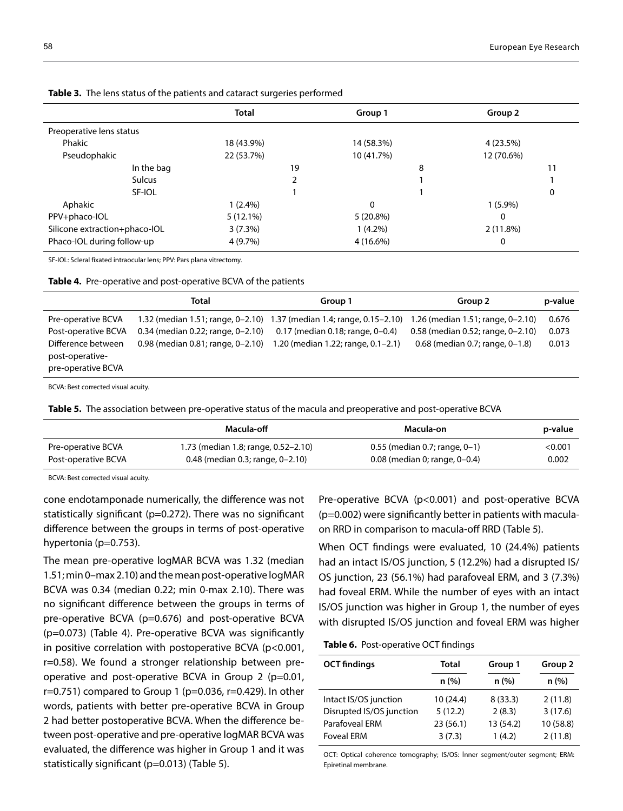| Group 2    |
|------------|
|            |
|            |
| 4 (23.5%)  |
| 12 (70.6%) |
|            |
|            |
| 0          |
| $1(5.9\%)$ |
|            |
| 2(11.8%)   |
|            |
|            |

**Table 3.** The lens status of the patients and cataract surgeries performed

SF-IOL: Scleral fixated intraocular lens; PPV: Pars plana vitrectomy.

**Table 4.** Pre-operative and post-operative BCVA of the patients

|                                                             | Total                               | Group 1                                                               | Group 2                           | p-value |
|-------------------------------------------------------------|-------------------------------------|-----------------------------------------------------------------------|-----------------------------------|---------|
| Pre-operative BCVA                                          |                                     | 1.32 (median 1.51; range, 0-2.10) 1.37 (median 1.4; range, 0.15-2.10) | 1.26 (median 1.51; range, 0-2.10) | 0.676   |
| Post-operative BCVA                                         | $0.34$ (median 0.22; range, 0-2.10) | 0.17 (median 0.18; range, 0-0.4)                                      | 0.58 (median 0.52; range, 0-2.10) | 0.073   |
| Difference between<br>post-operative-<br>pre-operative BCVA | 0.98 (median 0.81; range, 0-2.10)   | 1.20 (median 1.22; range, 0.1-2.1)                                    | 0.68 (median 0.7; range, 0-1.8)   | 0.013   |
|                                                             |                                     |                                                                       |                                   |         |

BCVA: Best corrected visual acuity.

**Table 5.** The association between pre-operative status of the macula and preoperative and post-operative BCVA

|                     | Macula-off                          | Macula-on                          | p-value |
|---------------------|-------------------------------------|------------------------------------|---------|
| Pre-operative BCVA  | 1.73 (median 1.8; range, 0.52–2.10) | $0.55$ (median 0.7; range, 0–1)    | <0.001  |
| Post-operative BCVA | $0.48$ (median 0.3; range, 0–2.10)  | $0.08$ (median 0; range, $0-0.4$ ) | 0.002   |

BCVA: Best corrected visual acuity.

cone endotamponade numerically, the difference was not statistically significant (p=0.272). There was no significant difference between the groups in terms of post-operative hypertonia (p=0.753).

The mean pre-operative logMAR BCVA was 1.32 (median 1.51; min 0–max 2.10) and the mean post-operative logMAR BCVA was 0.34 (median 0.22; min 0-max 2.10). There was no significant difference between the groups in terms of pre-operative BCVA (p=0.676) and post-operative BCVA (p=0.073) (Table 4). Pre-operative BCVA was significantly in positive correlation with postoperative BCVA (p<0.001, r=0.58). We found a stronger relationship between preoperative and post-operative BCVA in Group 2 (p=0.01,  $r=0.751$ ) compared to Group 1 (p=0.036, r=0.429). In other words, patients with better pre-operative BCVA in Group 2 had better postoperative BCVA. When the difference between post-operative and pre-operative logMAR BCVA was evaluated, the difference was higher in Group 1 and it was statistically significant (p=0.013) (Table 5).

Pre-operative BCVA (p<0.001) and post-operative BCVA (p=0.002) were significantly better in patients with maculaon RRD in comparison to macula-off RRD (Table 5).

When OCT findings were evaluated, 10 (24.4%) patients had an intact IS/OS junction, 5 (12.2%) had a disrupted IS/ OS junction, 23 (56.1%) had parafoveal ERM, and 3 (7.3%) had foveal ERM. While the number of eyes with an intact IS/OS junction was higher in Group 1, the number of eyes with disrupted IS/OS junction and foveal ERM was higher

#### **Table 6.** Post-operative OCT findings

| <b>OCT</b> findings      | Total    | Group 1   | Group 2   |
|--------------------------|----------|-----------|-----------|
|                          | n(%)     | n(%)      | n(%)      |
| Intact IS/OS junction    | 10(24.4) | 8(33.3)   | 2(11.8)   |
| Disrupted IS/OS junction | 5(12.2)  | 2(8.3)    | 3(17.6)   |
| <b>Parafoveal ERM</b>    | 23(56.1) | 13 (54.2) | 10 (58.8) |
| <b>Foveal ERM</b>        | 3(7.3)   | 1(4.2)    | 2(11.8)   |

OCT: Optical coherence tomography; IS/OS: İnner segment/outer segment; ERM: Epiretinal membrane.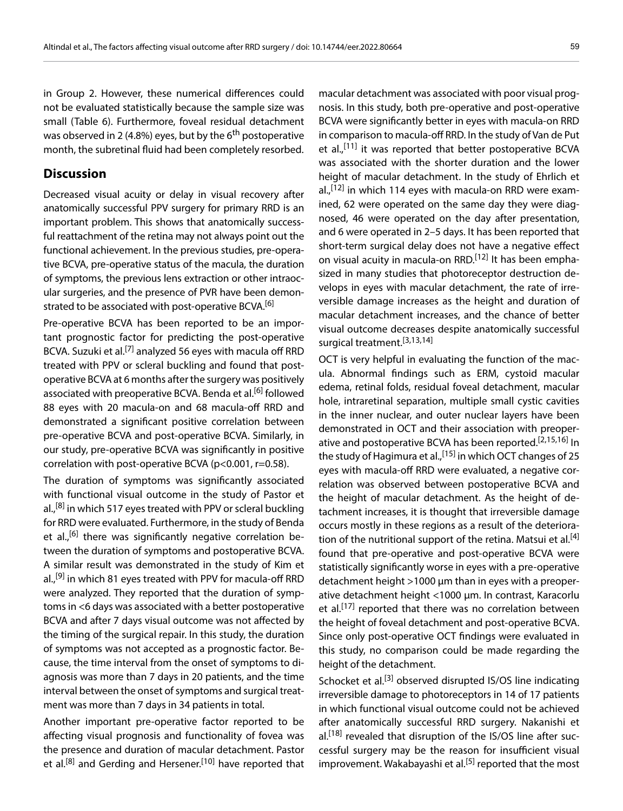in Group 2. However, these numerical differences could not be evaluated statistically because the sample size was small (Table 6). Furthermore, foveal residual detachment was observed in 2 (4.8%) eyes, but by the 6<sup>th</sup> postoperative month, the subretinal fluid had been completely resorbed.

### **Discussion**

Decreased visual acuity or delay in visual recovery after anatomically successful PPV surgery for primary RRD is an important problem. This shows that anatomically successful reattachment of the retina may not always point out the functional achievement. In the previous studies, pre-operative BCVA, pre-operative status of the macula, the duration of symptoms, the previous lens extraction or other intraocular surgeries, and the presence of PVR have been demonstrated to be associated with post-operative BCVA.<sup>[6]</sup>

Pre-operative BCVA has been reported to be an important prognostic factor for predicting the post-operative BCVA. Suzuki et al.<sup>[7]</sup> analyzed 56 eyes with macula off RRD treated with PPV or scleral buckling and found that postoperative BCVA at 6 months after the surgery was positively associated with preoperative BCVA. Benda et al.<sup>[6]</sup> followed 88 eyes with 20 macula-on and 68 macula-off RRD and demonstrated a significant positive correlation between pre-operative BCVA and post-operative BCVA. Similarly, in our study, pre-operative BCVA was significantly in positive correlation with post-operative BCVA (p<0.001, r=0.58).

The duration of symptoms was significantly associated with functional visual outcome in the study of Pastor et al.,<sup>[8]</sup> in which 517 eyes treated with PPV or scleral buckling for RRD were evaluated. Furthermore, in the study of Benda et al.,<sup>[6]</sup> there was significantly negative correlation between the duration of symptoms and postoperative BCVA. A similar result was demonstrated in the study of Kim et al.,<sup>[9]</sup> in which 81 eyes treated with PPV for macula-off RRD were analyzed. They reported that the duration of symptoms in <6 days was associated with a better postoperative BCVA and after 7 days visual outcome was not affected by the timing of the surgical repair. In this study, the duration of symptoms was not accepted as a prognostic factor. Because, the time interval from the onset of symptoms to diagnosis was more than 7 days in 20 patients, and the time interval between the onset of symptoms and surgical treatment was more than 7 days in 34 patients in total.

Another important pre-operative factor reported to be affecting visual prognosis and functionality of fovea was the presence and duration of macular detachment. Pastor et al.<sup>[8]</sup> and Gerding and Hersener.<sup>[10]</sup> have reported that

macular detachment was associated with poor visual prognosis. In this study, both pre-operative and post-operative BCVA were significantly better in eyes with macula-on RRD in comparison to macula-off RRD. In the study of Van de Put et al.,<sup>[11]</sup> it was reported that better postoperative BCVA was associated with the shorter duration and the lower height of macular detachment. In the study of Ehrlich et al., $[12]$  in which 114 eyes with macula-on RRD were examined, 62 were operated on the same day they were diagnosed, 46 were operated on the day after presentation, and 6 were operated in 2–5 days. It has been reported that short-term surgical delay does not have a negative effect on visual acuity in macula-on RRD.<sup>[12]</sup> It has been emphasized in many studies that photoreceptor destruction develops in eyes with macular detachment, the rate of irreversible damage increases as the height and duration of macular detachment increases, and the chance of better visual outcome decreases despite anatomically successful surgical treatment.[3,13,14]

OCT is very helpful in evaluating the function of the macula. Abnormal findings such as ERM, cystoid macular edema, retinal folds, residual foveal detachment, macular hole, intraretinal separation, multiple small cystic cavities in the inner nuclear, and outer nuclear layers have been demonstrated in OCT and their association with preoperative and postoperative BCVA has been reported.[2,15,16] In the study of Hagimura et al.,  $[15]$  in which OCT changes of 25 eyes with macula-off RRD were evaluated, a negative correlation was observed between postoperative BCVA and the height of macular detachment. As the height of detachment increases, it is thought that irreversible damage occurs mostly in these regions as a result of the deterioration of the nutritional support of the retina. Matsui et al.<sup>[4]</sup> found that pre-operative and post-operative BCVA were statistically significantly worse in eyes with a pre-operative detachment height >1000 µm than in eyes with a preoperative detachment height <1000 µm. In contrast, Karacorlu et al.<sup>[17]</sup> reported that there was no correlation between the height of foveal detachment and post-operative BCVA. Since only post-operative OCT findings were evaluated in this study, no comparison could be made regarding the height of the detachment.

Schocket et al.<sup>[3]</sup> observed disrupted IS/OS line indicating irreversible damage to photoreceptors in 14 of 17 patients in which functional visual outcome could not be achieved after anatomically successful RRD surgery. Nakanishi et al.<sup>[18]</sup> revealed that disruption of the IS/OS line after successful surgery may be the reason for insufficient visual improvement. Wakabayashi et al.<sup>[5]</sup> reported that the most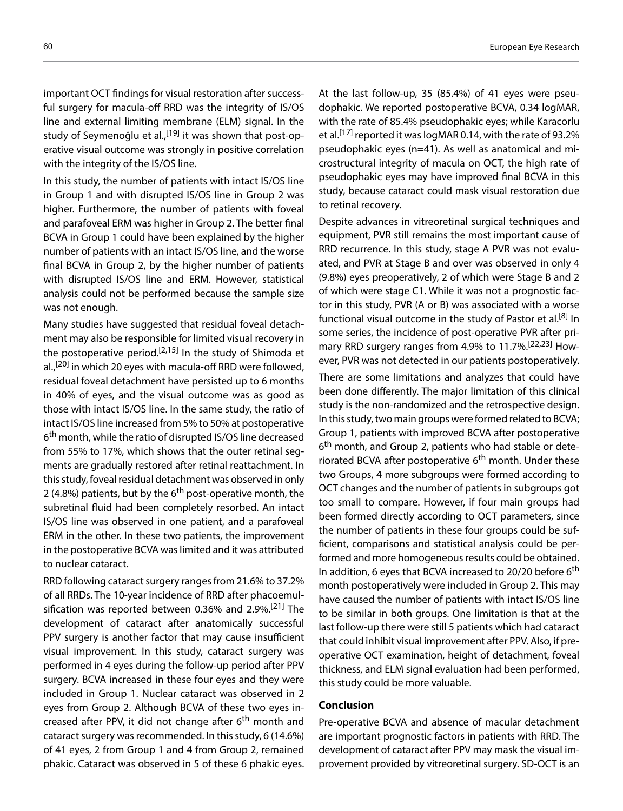important OCT findings for visual restoration after successful surgery for macula-off RRD was the integrity of IS/OS line and external limiting membrane (ELM) signal. In the study of Seymenoğlu et al.,<sup>[19]</sup> it was shown that post-operative visual outcome was strongly in positive correlation with the integrity of the IS/OS line.

In this study, the number of patients with intact IS/OS line in Group 1 and with disrupted IS/OS line in Group 2 was higher. Furthermore, the number of patients with foveal and parafoveal ERM was higher in Group 2. The better final BCVA in Group 1 could have been explained by the higher number of patients with an intact IS/OS line, and the worse final BCVA in Group 2, by the higher number of patients with disrupted IS/OS line and ERM. However, statistical analysis could not be performed because the sample size was not enough.

Many studies have suggested that residual foveal detachment may also be responsible for limited visual recovery in the postoperative period.<sup>[2,15]</sup> In the study of Shimoda et al.,<sup>[20]</sup> in which 20 eyes with macula-off RRD were followed, residual foveal detachment have persisted up to 6 months in 40% of eyes, and the visual outcome was as good as those with intact IS/OS line. In the same study, the ratio of intact IS/OS line increased from 5% to 50% at postoperative 6<sup>th</sup> month, while the ratio of disrupted IS/OS line decreased from 55% to 17%, which shows that the outer retinal segments are gradually restored after retinal reattachment. In this study, foveal residual detachment was observed in only 2 (4.8%) patients, but by the 6<sup>th</sup> post-operative month, the subretinal fluid had been completely resorbed. An intact IS/OS line was observed in one patient, and a parafoveal ERM in the other. In these two patients, the improvement in the postoperative BCVA was limited and it was attributed to nuclear cataract.

RRD following cataract surgery ranges from 21.6% to 37.2% of all RRDs. The 10-year incidence of RRD after phacoemulsification was reported between 0.36% and 2.9%.[21] The development of cataract after anatomically successful PPV surgery is another factor that may cause insufficient visual improvement. In this study, cataract surgery was performed in 4 eyes during the follow-up period after PPV surgery. BCVA increased in these four eyes and they were included in Group 1. Nuclear cataract was observed in 2 eyes from Group 2. Although BCVA of these two eyes increased after PPV, it did not change after 6<sup>th</sup> month and cataract surgery was recommended. In this study, 6 (14.6%) of 41 eyes, 2 from Group 1 and 4 from Group 2, remained phakic. Cataract was observed in 5 of these 6 phakic eyes.

At the last follow-up, 35 (85.4%) of 41 eyes were pseudophakic. We reported postoperative BCVA, 0.34 logMAR, with the rate of 85.4% pseudophakic eyes; while Karacorlu et al.<sup>[17]</sup> reported it was logMAR 0.14, with the rate of 93.2% pseudophakic eyes (n=41). As well as anatomical and microstructural integrity of macula on OCT, the high rate of pseudophakic eyes may have improved final BCVA in this study, because cataract could mask visual restoration due to retinal recovery.

Despite advances in vitreoretinal surgical techniques and equipment, PVR still remains the most important cause of RRD recurrence. In this study, stage A PVR was not evaluated, and PVR at Stage B and over was observed in only 4 (9.8%) eyes preoperatively, 2 of which were Stage B and 2 of which were stage C1. While it was not a prognostic factor in this study, PVR (A or B) was associated with a worse functional visual outcome in the study of Pastor et al.<sup>[8]</sup> In some series, the incidence of post-operative PVR after primary RRD surgery ranges from 4.9% to 11.7%.[22,23] However, PVR was not detected in our patients postoperatively.

There are some limitations and analyzes that could have been done differently. The major limitation of this clinical study is the non-randomized and the retrospective design. In this study, two main groups were formed related to BCVA; Group 1, patients with improved BCVA after postoperative 6<sup>th</sup> month, and Group 2, patients who had stable or deteriorated BCVA after postoperative  $6<sup>th</sup>$  month. Under these two Groups, 4 more subgroups were formed according to OCT changes and the number of patients in subgroups got too small to compare. However, if four main groups had been formed directly according to OCT parameters, since the number of patients in these four groups could be sufficient, comparisons and statistical analysis could be performed and more homogeneous results could be obtained. In addition, 6 eyes that BCVA increased to 20/20 before 6<sup>th</sup> month postoperatively were included in Group 2. This may have caused the number of patients with intact IS/OS line to be similar in both groups. One limitation is that at the last follow-up there were still 5 patients which had cataract that could inhibit visual improvement after PPV. Also, if preoperative OCT examination, height of detachment, foveal thickness, and ELM signal evaluation had been performed, this study could be more valuable.

#### **Conclusion**

Pre-operative BCVA and absence of macular detachment are important prognostic factors in patients with RRD. The development of cataract after PPV may mask the visual improvement provided by vitreoretinal surgery. SD-OCT is an